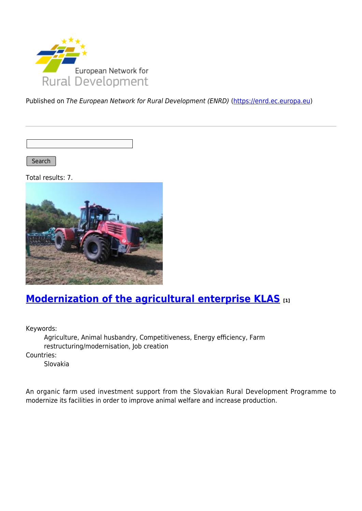

Published on The European Network for Rural Development (ENRD) [\(https://enrd.ec.europa.eu](https://enrd.ec.europa.eu))

Search |

Total results: 7.



## **[Modernization of the agricultural enterprise KLAS](https://enrd.ec.europa.eu/projects-practice/modernization-agricultural-enterprise-klas_en) [1]**

Keywords:

Agriculture, Animal husbandry, Competitiveness, Energy efficiency, Farm restructuring/modernisation, Job creation Countries: Slovakia

An organic farm used investment support from the Slovakian Rural Development Programme to modernize its facilities in order to improve animal welfare and increase production.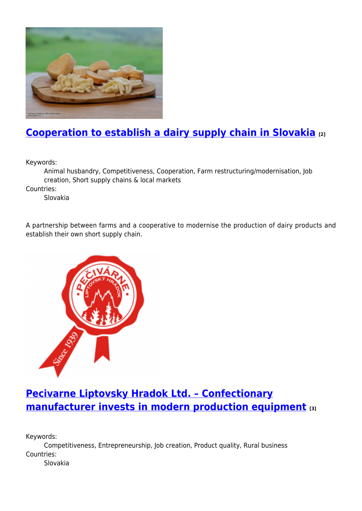

# **[Cooperation to establish a dairy supply chain in Slovakia](https://enrd.ec.europa.eu/projects-practice/cooperation-establish-dairy-supply-chain-slovakia_en) [2]**

Keywords:

Animal husbandry, Competitiveness, Cooperation, Farm restructuring/modernisation, Job creation, Short supply chains & local markets

Countries:

Slovakia

A partnership between farms and a cooperative to modernise the production of dairy products and establish their own short supply chain.



### **[Pecivarne Liptovsky Hradok Ltd. – Confectionary](https://enrd.ec.europa.eu/projects-practice/pecivarne-liptovsky-hradok-ltd-confectionary-manufacturer-invests-modern_en) [manufacturer invests in modern production equipment](https://enrd.ec.europa.eu/projects-practice/pecivarne-liptovsky-hradok-ltd-confectionary-manufacturer-invests-modern_en) [3]**

Keywords:

Competitiveness, Entrepreneurship, Job creation, Product quality, Rural business Countries:

Slovakia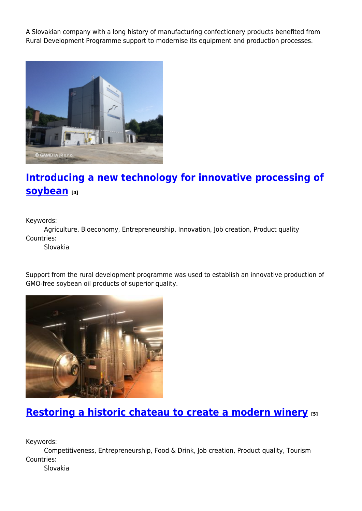A Slovakian company with a long history of manufacturing confectionery products benefited from Rural Development Programme support to modernise its equipment and production processes.



## **[Introducing a new technology for innovative processing of](https://enrd.ec.europa.eu/projects-practice/introducing-new-technology-innovative-processing-soybean_en) [soybean](https://enrd.ec.europa.eu/projects-practice/introducing-new-technology-innovative-processing-soybean_en) [4]**

Keywords:

Agriculture, Bioeconomy, Entrepreneurship, Innovation, Job creation, Product quality Countries:

Slovakia

Support from the rural development programme was used to establish an innovative production of GMO-free soybean oil products of superior quality.



### **[Restoring a historic chateau to create a modern winery](https://enrd.ec.europa.eu/projects-practice/restoring-historic-chateau-create-modern-winery_en) [5]**

Keywords:

Competitiveness, Entrepreneurship, Food & Drink, Job creation, Product quality, Tourism Countries:

Slovakia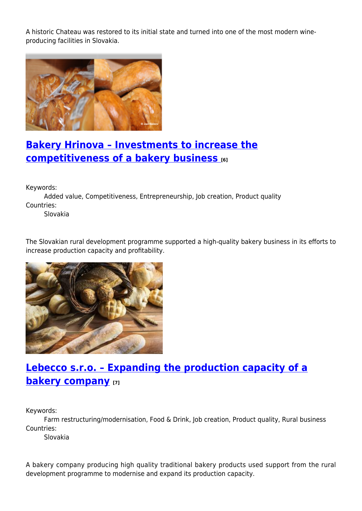A historic Chateau was restored to its initial state and turned into one of the most modern wineproducing facilities in Slovakia.



### **[Bakery Hrinova – Investments to increase the](https://enrd.ec.europa.eu/projects-practice/bakery-hrinova-investments-increase-competitiveness-bakery-business_en) [competitiveness of a bakery business](https://enrd.ec.europa.eu/projects-practice/bakery-hrinova-investments-increase-competitiveness-bakery-business_en) [6]**

Keywords:

Added value, Competitiveness, Entrepreneurship, Job creation, Product quality Countries:

Slovakia

The Slovakian rural development programme supported a high-quality bakery business in its efforts to increase production capacity and profitability.



## **[Lebecco s.r.o. – Expanding the production capacity of a](https://enrd.ec.europa.eu/projects-practice/lebecco-sro-expanding-production-capacity-bakery-company_en) [bakery company](https://enrd.ec.europa.eu/projects-practice/lebecco-sro-expanding-production-capacity-bakery-company_en) [7]**

Keywords:

Farm restructuring/modernisation, Food & Drink, Job creation, Product quality, Rural business Countries:

Slovakia

A bakery company producing high quality traditional bakery products used support from the rural development programme to modernise and expand its production capacity.